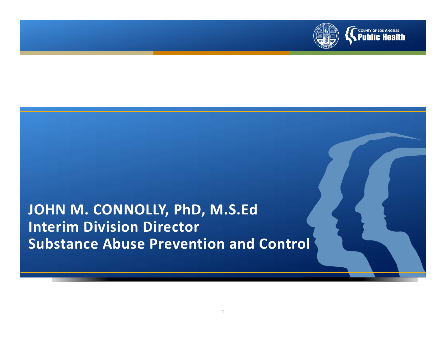

#### **JOHN M. CONNOLLY, PhD, M.S.Ed Interim Division Director Substance Abuse Prevention and Control**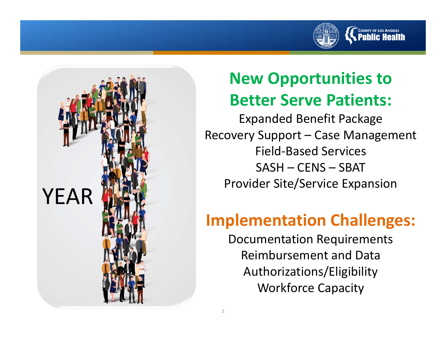



# **New Opportunities to Better Serve Patients:**

Expanded Benefit Package Recovery Support – Case Management Field‐Based Services SASH – CENS – SBAT Provider Site/Service Expansion

## **Implementation Challenges:**

Documentation Requirements Reimbursement and Data Authorizations/Eligibility Workforce Capacity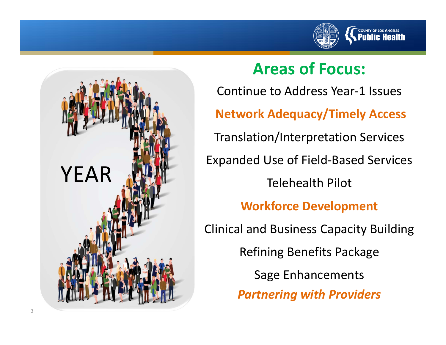



#### **Areas of Focus:**

Continue to Address Year‐1 Issues **Network Adequacy/Timely Access** Translation/Interpretation Services Expanded Use of Field‐Based Services Telehealth Pilot **Workforce Development** Clinical and Business Capacity Building Refining Benefits Package Sage Enhancements *Partnering with Providers*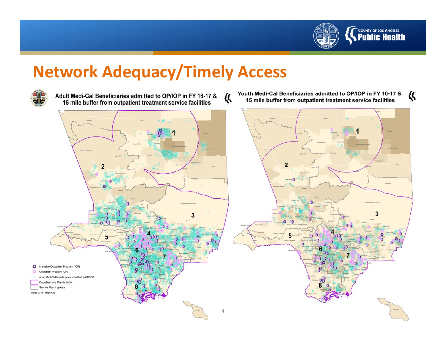

### **Network Adequacy/Timely Access**



Adult Medi-Cal Beneficiaries admitted to OP/IOP in FY 16-17 & 15 mile buffer from outpatient treatment service facilities

Youth Medi-Cal Beneficiaries admitted to OP/IOP in FY 16-17 & € 15 mile buffer from outpatient treatment service facilities



€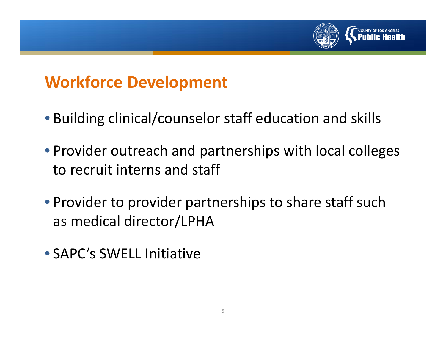

#### **Workforce Development**

- Building clinical/counselor staff education and skills
- Provider outreach and partnerships with local colleges to recruit interns and staff
- Provider to provider partnerships to share staff such as medical director/LPHA
- SAPC's SWELL Initiative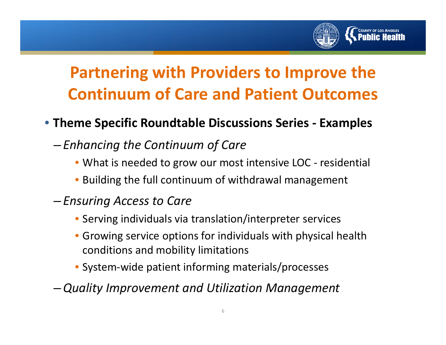

# **Partnering with Providers to Improve the Continuum of Care and Patient Outcomes**

#### • **Theme Specific Roundtable Discussions Series ‐ Examples**

- *Enhancing the Continuum of Care*
	- What is needed to grow our most intensive LOC ‐ residential
	- Building the full continuum of withdrawal management
- – *Ensuring Access to Care*
	- Serving individuals via translation/interpreter services
	- Growing service options for individuals with physical health conditions and mobility limitations
	- System‐wide patient informing materials/processes
- –*Quality Improvement and Utilization Management*